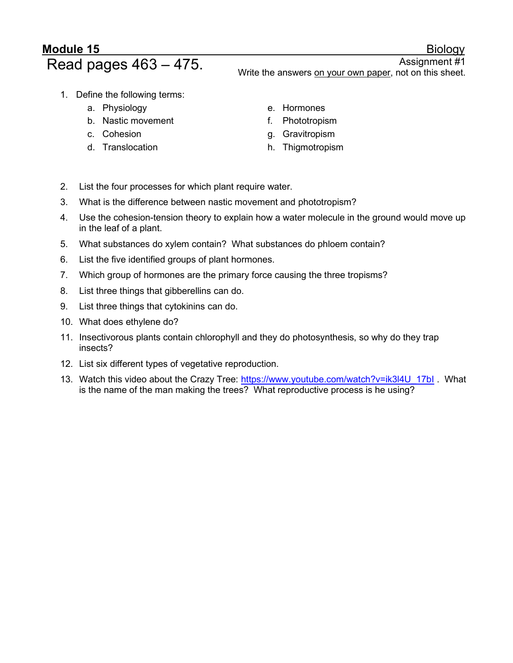## Module 15 Biology

Read pages 463 – 475. Write the answers on your own paper, not on this sheet.

- 1. Define the following terms:
	- a. Physiology
	- b. Nastic movement
	- c. Cohesion
	- d. Translocation
- e. Hormones
- f. Phototropism
- g. Gravitropism
- h. Thigmotropism
- 2. List the four processes for which plant require water.
- 3. What is the difference between nastic movement and phototropism?
- 4. Use the cohesion-tension theory to explain how a water molecule in the ground would move up in the leaf of a plant.
- 5. What substances do xylem contain? What substances do phloem contain?
- 6. List the five identified groups of plant hormones.
- 7. Which group of hormones are the primary force causing the three tropisms?
- 8. List three things that gibberellins can do.
- 9. List three things that cytokinins can do.
- 10. What does ethylene do?
- 11. Insectivorous plants contain chlorophyll and they do photosynthesis, so why do they trap insects?
- 12. List six different types of vegetative reproduction.
- 13. Watch this video about the Crazy Tree: https://www.youtube.com/watch?v=ik3l4U\_17bI . What is the name of the man making the trees? What reproductive process is he using?